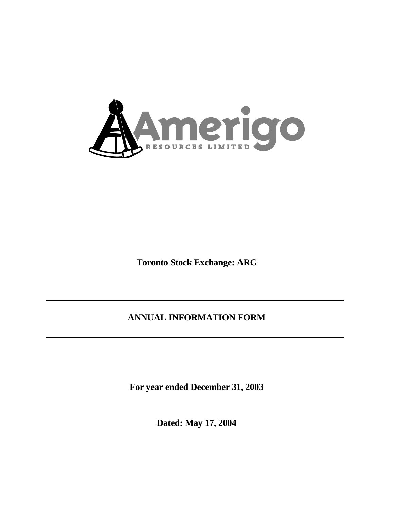

**Toronto Stock Exchange: ARG**

# **ANNUAL INFORMATION FORM**

**For year ended December 31, 2003**

**Dated: May 17, 2004**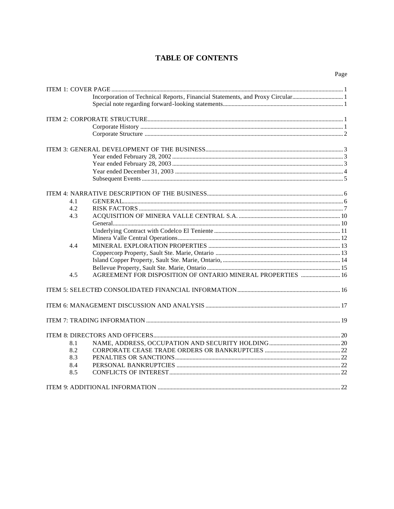## **TABLE OF CONTENTS**

|     | Incorporation of Technical Reports, Financial Statements, and Proxy Circular1 |  |
|-----|-------------------------------------------------------------------------------|--|
|     |                                                                               |  |
|     |                                                                               |  |
|     |                                                                               |  |
|     |                                                                               |  |
|     |                                                                               |  |
|     |                                                                               |  |
|     |                                                                               |  |
|     |                                                                               |  |
|     |                                                                               |  |
|     |                                                                               |  |
| 4.1 |                                                                               |  |
| 4.2 |                                                                               |  |
| 4.3 |                                                                               |  |
|     |                                                                               |  |
|     |                                                                               |  |
|     |                                                                               |  |
| 4.4 |                                                                               |  |
|     |                                                                               |  |
|     |                                                                               |  |
|     |                                                                               |  |
| 4.5 | AGREEMENT FOR DISPOSITION OF ONTARIO MINERAL PROPERTIES  16                   |  |
|     |                                                                               |  |
|     |                                                                               |  |
|     |                                                                               |  |
|     |                                                                               |  |
| 8.1 |                                                                               |  |
| 8.2 |                                                                               |  |
| 8.3 |                                                                               |  |
| 8.4 |                                                                               |  |
| 8.5 |                                                                               |  |
|     |                                                                               |  |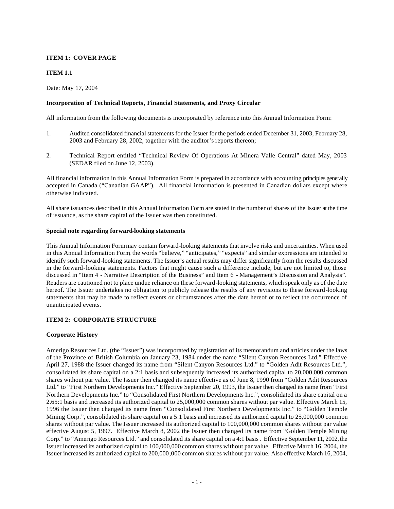## **ITEM 1: COVER PAGE**

## **ITEM 1.1**

Date: May 17, 2004

## **Incorporation of Technical Reports, Financial Statements, and Proxy Circular**

All information from the following documents is incorporated by reference into this Annual Information Form:

- 1. Audited consolidated financial statements for the Issuer for the periods ended December 31, 2003, February 28, 2003 and February 28, 2002, together with the auditor's reports thereon;
- 2. Technical Report entitled "Technical Review Of Operations At Minera Valle Central" dated May, 2003 (SEDAR filed on June 12, 2003).

All financial information in this Annual Information Form is prepared in accordance with accounting principles generally accepted in Canada ("Canadian GAAP"). All financial information is presented in Canadian dollars except where otherwise indicated.

All share issuances described in this Annual Information Form are stated in the number of shares of the Issuer at the time of issuance, as the share capital of the Issuer was then constituted.

#### **Special note regarding forward-looking statements**

This Annual Information Form may contain forward-looking statements that involve risks and uncertainties. When used in this Annual Information Form, the words "believe," "anticipates," "expects" and similar expressions are intended to identify such forward-looking statements. The Issuer's actual results may differ significantly from the results discussed in the forward-looking statements. Factors that might cause such a difference include, but are not limited to, those discussed in "Item 4 - Narrative Description of the Business" and Item 6 - Management's Discussion and Analysis". Readers are cautioned not to place undue reliance on these forward-looking statements, which speak only as of the date hereof. The Issuer undertakes no obligation to publicly release the results of any revisions to these forward-looking statements that may be made to reflect events or circumstances after the date hereof or to reflect the occurrence of unanticipated events.

## **ITEM 2: CORPORATE STRUCTURE**

## **Corporate History**

Amerigo Resources Ltd. (the "Issuer") was incorporated by registration of its memorandum and articles under the laws of the Province of British Columbia on January 23, 1984 under the name "Silent Canyon Resources Ltd." Effective April 27, 1988 the Issuer changed its name from "Silent Canyon Resources Ltd." to "Golden Adit Resources Ltd.", consolidated its share capital on a 2:1 basis and subsequently increased its authorized capital to 20,000,000 common shares without par value. The Issuer then changed its name effective as of June 8, 1990 from "Golden Adit Resources Ltd." to "First Northern Developments Inc." Effective September 20, 1993, the Issuer then changed its name from "First Northern Developments Inc." to "Consolidated First Northern Developments Inc.", consolidated its share capital on a 2.65:1 basis and increased its authorized capital to 25,000,000 common shares without par value. Effective March 15, 1996 the Issuer then changed its name from "Consolidated First Northern Developments Inc." to "Golden Temple Mining Corp.", consolidated its share capital on a 5:1 basis and increased its authorized capital to 25,000,000 common shares without par value. The Issuer increased its authorized capital to 100,000,000 common shares without par value effective August 5, 1997. Effective March 8, 2002 the Issuer then changed its name from "Golden Temple Mining Corp." to "Amerigo Resources Ltd." and consolidated its share capital on a 4:1 basis. Effective September 11, 2002, the Issuer increased its authorized capital to 100,000,000 common shares without par value. Effective March 16, 2004, the Issuer increased its authorized capital to 200,000,000 common shares without par value. Also effective March 16, 2004,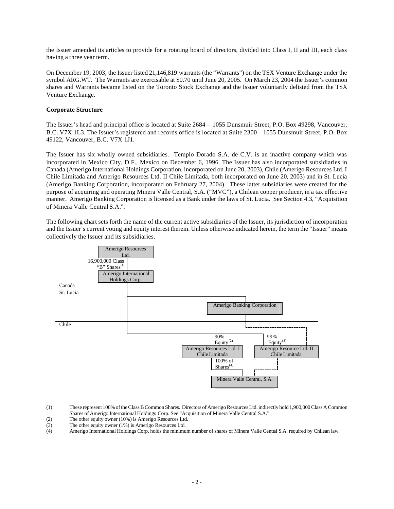the Issuer amended its articles to provide for a rotating board of directors, divided into Class I, II and III, each class having a three year term.

On December 19, 2003, the Issuer listed 21,146,819 warrants (the "Warrants") on the TSX Venture Exchange under the symbol ARG.WT. The Warrants are exercisable at \$0.70 until June 20, 2005. On March 23, 2004 the Issuer's common shares and Warrants became listed on the Toronto Stock Exchange and the Issuer voluntarily delisted from the TSX Venture Exchange.

## **Corporate Structure**

The Issuer's head and principal office is located at Suite 2684 – 1055 Dunsmuir Street, P.O. Box 49298, Vancouver, B.C. V7X 1L3. The Issuer's registered and records office is located at Suite 2300 – 1055 Dunsmuir Street, P.O. Box 49122, Vancouver, B.C. V7X 1J1.

The Issuer has six wholly owned subsidiaries. Templo Dorado S.A. de C.V. is an inactive company which was incorporated in Mexico City, D.F., Mexico on December 6, 1996. The Issuer has also incorporated subsidiaries in Canada (Amerigo International Holdings Corporation, incorporated on June 20, 2003), Chile (Amerigo Resources Ltd. I Chile Limitada and Amerigo Resources Ltd. II Chile Limitada, both incorporated on June 20, 2003) and in St. Lucia (Amerigo Banking Corporation, incorporated on February 27, 2004). These latter subsidiaries were created for the purpose of acquiring and operating Minera Valle Central, S.A. ("MVC"), a Chilean copper producer, in a tax effective manner. Amerigo Banking Corporation is licensed as a Bank under the laws of St. Lucia. See Section 4.3, "Acquisition of Minera Valle Central S.A.".

The following chart sets forth the name of the current active subsidiaries of the Issuer, its jurisdiction of incorporation and the Issuer's current voting and equity interest therein. Unless otherwise indicated herein, the term the "Issuer" means collectively the Issuer and its subsidiaries.



- (1) These represent 100% of the Class B Common Shares. Directors of Amerigo Resources Ltd. indirectly hold 1,900,000 Class A Common Shares of Amerigo International Holdings Corp. See "Acquisition of Minera Valle Central S.A.".
- (2) The other equity owner (10%) is Amerigo Resources Ltd.
- 
- (3) The other equity owner (1%) is Amerigo Resources Ltd.<br>
(4) Amerigo International Holdings Corp. holds the minimu Amerigo International Holdings Corp. holds the minimum number of shares of Minera Valle Central S.A. required by Chilean law.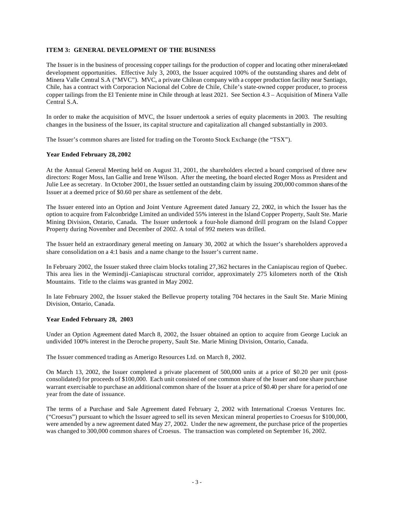## **ITEM 3: GENERAL DEVELOPMENT OF THE BUSINESS**

The Issuer is in the business of processing copper tailings for the production of copper and locating other mineral-related development opportunities. Effective July 3, 2003, the Issuer acquired 100% of the outstanding shares and debt of Minera Valle Central S.A ("MVC"). MVC, a private Chilean company with a copper production facility near Santiago, Chile, has a contract with Corporacion Nacional del Cobre de Chile, Chile's state-owned copper producer, to process copper tailings from the El Teniente mine in Chile through at least 2021. See Section 4.3 – Acquisition of Minera Valle Central S.A.

In order to make the acquisition of MVC, the Issuer undertook a series of equity placements in 2003. The resulting changes in the business of the Issuer, its capital structure and capitalization all changed substantially in 2003.

The Issuer's common shares are listed for trading on the Toronto Stock Exchange (the "TSX").

#### **Year Ended February 28, 2002**

At the Annual General Meeting held on August 31, 2001, the shareholders elected a board comprised of three new directors: Roger Moss, Ian Gallie and Irene Wilson. After the meeting, the board elected Roger Moss as President and Julie Lee as secretary. In October 2001, the Issuer settled an outstanding claim by issuing 200,000 common shares of the Issuer at a deemed price of \$0.60 per share as settlement of the debt.

The Issuer entered into an Option and Joint Venture Agreement dated January 22, 2002, in which the Issuer has the option to acquire from Falconbridge Limited an undivided 55% interest in the Island Copper Property, Sault Ste. Marie Mining Division, Ontario, Canada. The Issuer undertook a four-hole diamond drill program on the Island Copper Property during November and December of 2002. A total of 992 meters was drilled.

The Issuer held an extraordinary general meeting on January 30, 2002 at which the Issuer's shareholders approved a share consolidation on a 4:1 basis and a name change to the Issuer's current name.

In February 2002, the Issuer staked three claim blocks totaling 27,362 hectares in the Caniapiscau region of Quebec. This area lies in the Wemindji-Caniapiscau structural corridor, approximately 275 kilometers north of the Otish Mountains. Title to the claims was granted in May 2002.

In late February 2002, the Issuer staked the Bellevue property totaling 704 hectares in the Sault Ste. Marie Mining Division, Ontario, Canada.

#### **Year Ended February 28, 2003**

Under an Option Agreement dated March 8, 2002, the Issuer obtained an option to acquire from George Luciuk an undivided 100% interest in the Deroche property, Sault Ste. Marie Mining Division, Ontario, Canada.

The Issuer commenced trading as Amerigo Resources Ltd. on March 8, 2002.

On March 13, 2002, the Issuer completed a private placement of 500,000 units at a price of \$0.20 per unit (postconsolidated) for proceeds of \$100,000. Each unit consisted of one common share of the Issuer and one share purchase warrant exercisable to purchase an additional common share of the Issuer at a price of \$0.40 per share for a period of one year from the date of issuance.

The terms of a Purchase and Sale Agreement dated February 2, 2002 with International Croesus Ventures Inc. ("Croesus") pursuant to which the Issuer agreed to sell its seven Mexican mineral properties to Croesus for \$100,000, were amended by a new agreement dated May 27, 2002. Under the new agreement, the purchase price of the properties was changed to 300,000 common shares of Croesus. The transaction was completed on September 16, 2002.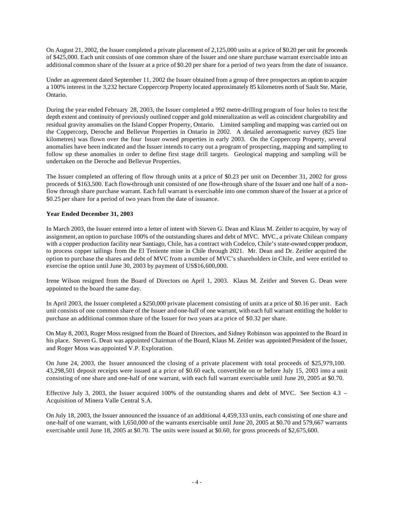On August 21, 2002, the Issuer completed a private placement of 2,125,000 units at a price of \$0.20 per unit for proceeds of \$425,000. Each unit consists of one common share of the Issuer and one share purchase warrant exercisable into an additional common share of the Issuer at a price of \$0.20 per share for a period of two years from the date of issuance.

Under an agreement dated September 11, 2002 the Issuer obtained from a group of three prospectors an option to acquire a 100% interest in the 3,232 hectare Coppercorp Property located approximately 85 kilometres north of Sault Ste. Marie, Ontario.

During the year ended February 28, 2003, the Issuer completed a 992 metre-drilling program of four holes to test the depth extent and continuity of previously outlined copper and gold mineralization as well as coincident chargeability and residual gravity anomalies on the Island Copper Property, Ontario. Limited sampling and mapping was carried out on the Coppercorp, Deroche and Bellevue Properties in Ontario in 2002. A detailed aeromagnetic survey (825 line kilometres) was flown over the four Issuer owned properties in early 2003. On the Coppercorp Property, several anomalies have been indicated and the Issuer intends to carry out a program of prospecting, mapping and sampling to follow up these anomalies in order to define first stage drill targets. Geological mapping and sampling will be undertaken on the Deroche and Bellevue Properties.

The Issuer completed an offering of flow through units at a price of \$0.23 per unit on December 31, 2002 for gross proceeds of \$163,500. Each flow-through unit consisted of one flow-through share of the Issuer and one half of a nonflow through share purchase warrant. Each full warrant is exercisable into one common share of the Issuer at a price of \$0.25 per share for a period of two years from the date of issuance.

## **Year Ended December 31, 2003**

In March 2003, the Issuer entered into a letter of intent with Steven G. Dean and Klaus M. Zeitler to acquire, by way of assignment, an option to purchase 100% of the outstanding shares and debt of MVC. MVC, a private Chilean company with a copper production facility near Santiago, Chile, has a contract with Codelco, Chile's state-owned copper producer, to process copper tailings from the El Teniente mine in Chile through 2021. Mr. Dean and Dr. Zeitler acquired the option to purchase the shares and debt of MVC from a number of MVC's shareholders in Chile, and were entitled to exercise the option until June 30, 2003 by payment of US\$16,600,000.

Irene Wilson resigned from the Board of Directors on April 1, 2003. Klaus M. Zeitler and Steven G. Dean were appointed to the board the same day.

In April 2003, the Issuer completed a \$250,000 private placement consisting of units at a price of \$0.16 per unit. Each unit consists of one common share of the Issuer and one-half of one warrant, with each full warrant entitling the holder to purchase an additional common share of the Issuer for two years at a price of \$0.32 per share.

On May 8, 2003, Roger Moss resigned from the Board of Directors, and Sidney Robinson was appointed to the Board in his place. Steven G. Dean was appointed Chairman of the Board, Klaus M. Zeitler was appointed President of the Issuer, and Roger Moss was appointed V.P. Exploration.

On June 24, 2003, the Issuer announced the closing of a private placement with total proceeds of \$25,979,100. 43,298,501 deposit receipts were issued at a price of \$0.60 each, convertible on or before July 15, 2003 into a unit consisting of one share and one-half of one warrant, with each full warrant exercisable until June 20, 2005 at \$0.70.

Effective July 3, 2003, the Issuer acquired 100% of the outstanding shares and debt of MVC. See Section 4.3 – Acquisition of Minera Valle Central S.A.

On July 18, 2003, the Issuer announced the issuance of an additional 4,459,333 units, each consisting of one share and one-half of one warrant, with 1,650,000 of the warrants exercisable until June 20, 2005 at \$0.70 and 579,667 warrants exercisable until June 18, 2005 at \$0.70. The units were issued at \$0.60, for gross proceeds of \$2,675,600.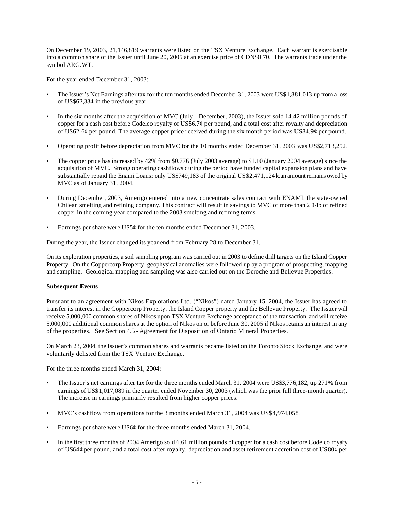On December 19, 2003, 21,146,819 warrants were listed on the TSX Venture Exchange. Each warrant is exercisable into a common share of the Issuer until June 20, 2005 at an exercise price of CDN\$0.70. The warrants trade under the symbol ARG.WT.

For the year ended December 31, 2003:

- The Issuer's Net Earnings after tax for the ten months ended December 31, 2003 were US\$1,881,013 up from a loss of US\$62,334 in the previous year.
- In the six months after the acquisition of MVC (July December, 2003), the Issuer sold 14.42 million pounds of copper for a cash cost before Codelco royalty of US56.7¢ per pound, and a total cost after royalty and depreciation of US62.6¢ per pound. The average copper price received during the six-month period was US84.9¢ per pound.
- Operating profit before depreciation from MVC for the 10 months ended December 31, 2003 was US\$2,713,252.
- The copper price has increased by 42% from \$0.776 (July 2003 average) to \$1.10 (January 2004 average) since the acquisition of MVC. Strong operating cashflows during the period have funded capital expansion plans and have substantially repaid the Enami Loans: only US\$749,183 of the original US\$2,471,124 loan amount remains owed by MVC as of January 31, 2004.
- During December, 2003, Amerigo entered into a new concentrate sales contract with ENAMI, the state-owned Chilean smelting and refining company. This contract will result in savings to MVC of more than  $2 \ell/b$  of refined copper in the coming year compared to the 2003 smelting and refining terms.
- Earnings per share were US5 $\phi$  for the ten months ended December 31, 2003.

During the year, the Issuer changed its year-end from February 28 to December 31.

On its exploration properties, a soil sampling program was carried out in 2003 to define drill targets on the Island Copper Property. On the Coppercorp Property, geophysical anomalies were followed up by a program of prospecting, mapping and sampling. Geological mapping and sampling was also carried out on the Deroche and Bellevue Properties.

## **Subsequent Events**

Pursuant to an agreement with Nikos Explorations Ltd. ("Nikos") dated January 15, 2004, the Issuer has agreed to transfer its interest in the Coppercorp Property, the Island Copper property and the Bellevue Property. The Issuer will receive 5,000,000 common shares of Nikos upon TSX Venture Exchange acceptance of the transaction, and will receive 5,000,000 additional common shares at the option of Nikos on or before June 30, 2005 if Nikos retains an interest in any of the properties. See Section 4.5 - Agreement for Disposition of Ontario Mineral Properties.

On March 23, 2004, the Issuer's common shares and warrants became listed on the Toronto Stock Exchange, and were voluntarily delisted from the TSX Venture Exchange.

For the three months ended March 31, 2004:

- The Issuer's net earnings after tax for the three months ended March 31, 2004 were US\$3,776,182, up 271% from earnings of US\$1,017,089 in the quarter ended November 30, 2003 (which was the prior full three-month quarter). The increase in earnings primarily resulted from higher copper prices.
- MVC's cashflow from operations for the 3 months ended March 31, 2004 was US\$4,974,058.
- Earnings per share were US6¢ for the three months ended March 31, 2004.
- In the first three months of 2004 Amerigo sold 6.61 million pounds of copper for a cash cost before Codelco royalty of US64¢ per pound, and a total cost after royalty, depreciation and asset retirement accretion cost of US80¢ per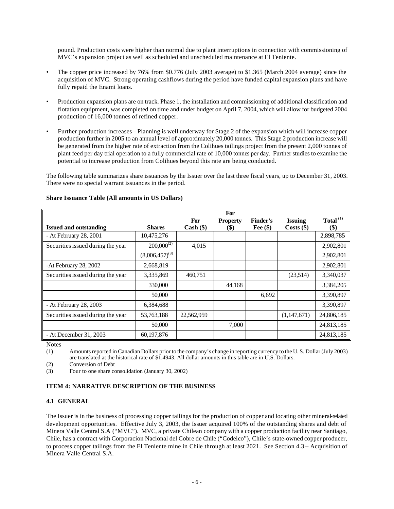pound. Production costs were higher than normal due to plant interruptions in connection with commissioning of MVC's expansion project as well as scheduled and unscheduled maintenance at El Teniente.

- The copper price increased by 76% from \$0.776 (July 2003 average) to \$1.365 (March 2004 average) since the acquisition of MVC. Strong operating cashflows during the period have funded capital expansion plans and have fully repaid the Enami loans.
- Production expansion plans are on track. Phase 1, the installation and commissioning of additional classification and flotation equipment, was completed on time and under budget on April 7, 2004, which will allow for budgeted 2004 production of 16,000 tonnes of refined copper.
- Further production increases Planning is well underway for Stage 2 of the expansion which will increase copper production further in 2005 to an annual level of approximately 20,000 tonnes. This Stage 2 production increase will be generated from the higher rate of extraction from the Colihues tailings project from the present 2,000 tonnes of plant feed per day trial operation to a fully commercial rate of 10,000 tonnes per day. Further studies to examine the potential to increase production from Colihues beyond this rate are being conducted.

The following table summarizes share issuances by the Issuer over the last three fiscal years, up to December 31, 2003. There were no special warrant issuances in the period.

|                                   |                     |            | For                       |            |                |                           |
|-----------------------------------|---------------------|------------|---------------------------|------------|----------------|---------------------------|
|                                   |                     | For        | <b>Property</b>           | Finder's   | <b>Issuing</b> | Total <sup>(1)</sup>      |
| <b>Issued and outstanding</b>     | <b>Shares</b>       | Cash (\$)  | $\left( \text{\$}\right)$ | Fee $(\$)$ | $Costs$ (\$)   | $\left( \text{\$}\right)$ |
| - At February 28, 2001            | 10,475,276          |            |                           |            |                | 2,898,785                 |
| Securities issued during the year | $200,000^{(2)}$     | 4,015      |                           |            |                | 2,902,801                 |
|                                   | $(8,006,457)^{(3)}$ |            |                           |            |                | 2,902,801                 |
| -At February 28, 2002             | 2,668,819           |            |                           |            |                | 2,902,801                 |
| Securities issued during the year | 3,335,869           | 460,751    |                           |            | (23,514)       | 3,340,037                 |
|                                   | 330,000             |            | 44,168                    |            |                | 3,384,205                 |
|                                   | 50,000              |            |                           | 6,692      |                | 3,390,897                 |
| - At February 28, 2003            | 6,384,688           |            |                           |            |                | 3,390,897                 |
| Securities issued during the year | 53,763,188          | 22,562,959 |                           |            | (1,147,671)    | 24,806,185                |
|                                   | 50,000              |            | 7,000                     |            |                | 24,813,185                |
| - At December 31, 2003            | 60,197,876          |            |                           |            |                | 24,813,185                |

## **Share Issuance Table (All amounts in US Dollars)**

Notes

(1) Amounts reported in Canadian Dollars prior to the company's change in reporting currency to the U. S. Dollar (July 2003) are translated at the historical rate of \$1.4943. All dollar amounts in this table are in U.S. Dollars.

(2) Conversion of Debt

(3) Four to one share consolidation (January 30, 2002)

## **ITEM 4: NARRATIVE DESCRIPTION OF THE BUSINESS**

## **4.1 GENERAL**

The Issuer is in the business of processing copper tailings for the production of copper and locating other mineral-related development opportunities. Effective July 3, 2003, the Issuer acquired 100% of the outstanding shares and debt of Minera Valle Central S.A ("MVC"). MVC, a private Chilean company with a copper production facility near Santiago, Chile, has a contract with Corporacion Nacional del Cobre de Chile ("Codelco"), Chile's state-owned copper producer, to process copper tailings from the El Teniente mine in Chile through at least 2021. See Section 4.3 – Acquisition of Minera Valle Central S.A.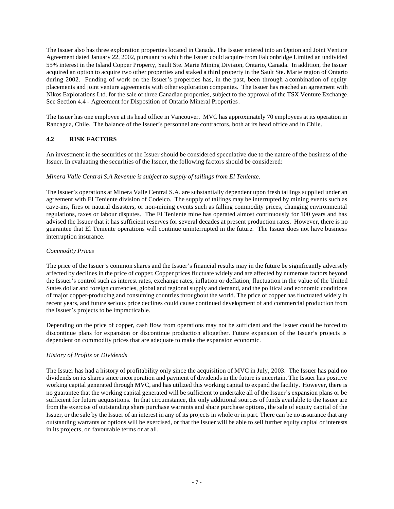The Issuer also has three exploration properties located in Canada. The Issuer entered into an Option and Joint Venture Agreement dated January 22, 2002, pursuant to which the Issuer could acquire from Falconbridge Limited an undivided 55% interest in the Island Copper Property, Sault Ste. Marie Mining Division, Ontario, Canada. In addition, the Issuer acquired an option to acquire two other properties and staked a third property in the Sault Ste. Marie region of Ontario during 2002. Funding of work on the Issuer's properties has, in the past, been through a combination of equity placements and joint venture agreements with other exploration companies. The Issuer has reached an agreement with Nikos Explorations Ltd. for the sale of three Canadian properties, subject to the approval of the TSX Venture Exchange. See Section 4.4 - Agreement for Disposition of Ontario Mineral Properties.

The Issuer has one employee at its head office in Vancouver. MVC has approximately 70 employees at its operation in Rancagua, Chile. The balance of the Issuer's personnel are contractors, both at its head office and in Chile.

## **4.2 RISK FACTORS**

An investment in the securities of the Issuer should be considered speculative due to the nature of the business of the Issuer. In evaluating the securities of the Issuer, the following factors should be considered:

## *Minera Valle Central S.A Revenue is subject to supply of tailings from El Teniente.*

The Issuer's operations at Minera Valle Central S.A. are substantially dependent upon fresh tailings supplied under an agreement with El Teniente division of Codelco. The supply of tailings may be interrupted by mining events such as cave-ins, fires or natural disasters, or non-mining events such as falling commodity prices, changing environmental regulations, taxes or labour disputes. The El Teniente mine has operated almost continuously for 100 years and has advised the Issuer that it has sufficient reserves for several decades at present production rates. However, there is no guarantee that El Teniente operations will continue uninterrupted in the future. The Issuer does not have business interruption insurance.

#### *Commodity Prices*

The price of the Issuer's common shares and the Issuer's financial results may in the future be significantly adversely affected by declines in the price of copper. Copper prices fluctuate widely and are affected by numerous factors beyond the Issuer's control such as interest rates, exchange rates, inflation or deflation, fluctuation in the value of the United States dollar and foreign currencies, global and regional supply and demand, and the political and economic conditions of major copper-producing and consuming countries throughout the world. The price of copper has fluctuated widely in recent years, and future serious price declines could cause continued development of and commercial production from the Issuer's projects to be impracticable.

Depending on the price of copper, cash flow from operations may not be sufficient and the Issuer could be forced to discontinue plans for expansion or discontinue production altogether. Future expansion of the Issuer's projects is dependent on commodity prices that are adequate to make the expansion economic.

## *History of Profits or Dividends*

The Issuer has had a history of profitability only since the acquisition of MVC in July, 2003. The Issuer has paid no dividends on its shares since incorporation and payment of dividends in the future is uncertain. The Issuer has positive working capital generated through MVC, and has utilized this working capital to expand the facility. However, there is no guarantee that the working capital generated will be sufficient to undertake all of the Issuer's expansion plans or be sufficient for future acquisitions. In that circumstance, the only additional sources of funds available to the Issuer are from the exercise of outstanding share purchase warrants and share purchase options, the sale of equity capital of the Issuer, or the sale by the Issuer of an interest in any of its projects in whole or in part. There can be no assurance that any outstanding warrants or options will be exercised, or that the Issuer will be able to sell further equity capital or interests in its projects, on favourable terms or at all.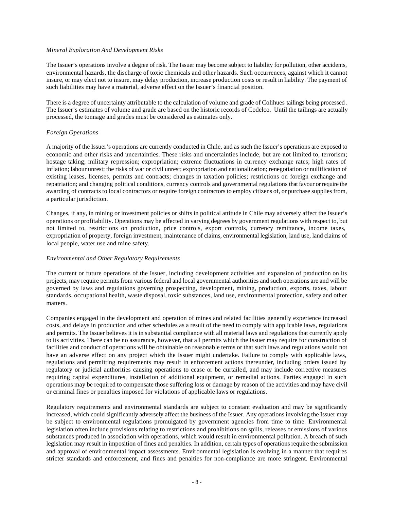#### *Mineral Exploration And Development Risks*

The Issuer's operations involve a degree of risk. The Issuer may become subject to liability for pollution, other accidents, environmental hazards, the discharge of toxic chemicals and other hazards. Such occurrences, against which it cannot insure, or may elect not to insure, may delay production, increase production costs or result in liability. The payment of such liabilities may have a material, adverse effect on the Issuer's financial position.

There is a degree of uncertainty attributable to the calculation of volume and grade of Colihues tailings being processed . The Issuer's estimates of volume and grade are based on the historic records of Codelco. Until the tailings are actually processed, the tonnage and grades must be considered as estimates only.

#### *Foreign Operations*

A majority of the Issuer's operations are currently conducted in Chile, and as such the Issuer's operations are exposed to economic and other risks and uncertainties. These risks and uncertainties include, but are not limited to, terrorism; hostage taking; military repression; expropriation; extreme fluctuations in currency exchange rates; high rates of inflation; labour unrest; the risks of war or civil unrest; expropriation and nationalization; renegotiation or nullification of existing leases, licenses, permits and contracts; changes in taxation policies; restrictions on foreign exchange and repatriation; and changing political conditions, currency controls and governmental regulations that favour or require the awarding of contracts to local contractors or require foreign contractors to employ citizens of, or purchase supplies from, a particular jurisdiction.

Changes, if any, in mining or investment policies or shifts in political attitude in Chile may adversely affect the Issuer's operations or profitability. Operations may be affected in varying degrees by government regulations with respect to, but not limited to, restrictions on production, price controls, export controls, currency remittance, income taxes, expropriation of property, foreign investment, maintenance of claims, environmental legislation, land use, land claims of local people, water use and mine safety.

#### *Environmental and Other Regulatory Requirements*

The current or future operations of the Issuer, including development activities and expansion of production on its projects, may require permits from various federal and local governmental authorities and such operations are and will be governed by laws and regulations governing prospecting, development, mining, production, exports, taxes, labour standards, occupational health, waste disposal, toxic substances, land use, environmental protection, safety and other matters.

Companies engaged in the development and operation of mines and related facilities generally experience increased costs, and delays in production and other schedules as a result of the need to comply with applicable laws, regulations and permits. The Issuer believes it is in substantial compliance with all material laws and regulations that currently apply to its activities. There can be no assurance, however, that all permits which the Issuer may require for construction of facilities and conduct of operations will be obtainable on reasonable terms or that such laws and regulations would not have an adverse effect on any project which the Issuer might undertake. Failure to comply with applicable laws, regulations and permitting requirements may result in enforcement actions thereunder, including orders issued by regulatory or judicial authorities causing operations to cease or be curtailed, and may include corrective measures requiring capital expenditures, installation of additional equipment, or remedial actions. Parties engaged in such operations may be required to compensate those suffering loss or damage by reason of the activities and may have civil or criminal fines or penalties imposed for violations of applicable laws or regulations.

Regulatory requirements and environmental standards are subject to constant evaluation and may be significantly increased, which could significantly adversely affect the business of the Issuer. Any operations involving the Issuer may be subject to environmental regulations promulgated by government agencies from time to time. Environmental legislation often include provisions relating to restrictions and prohibitions on spills, releases or emissions of various substances produced in association with operations, which would result in environmental pollution. A breach of such legislation may result in imposition of fines and penalties. In addition, certain types of operations require the submission and approval of environmental impact assessments. Environmental legislation is evolving in a manner that requires stricter standards and enforcement, and fines and penalties for non-compliance are more stringent. Environmental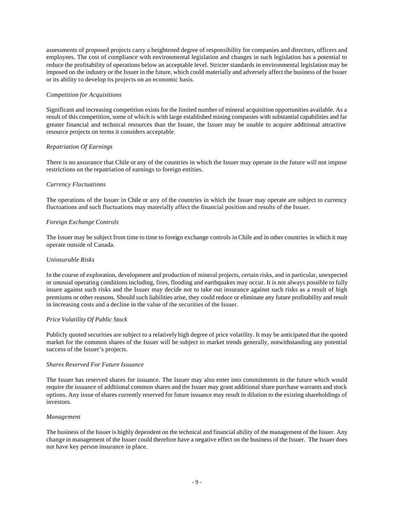assessments of proposed projects carry a heightened degree of responsibility for companies and directors, officers and employees. The cost of compliance with environmental legislation and changes in such legislation has a potential to reduce the profitability of operations below an acceptable level. Stricter standards in environmental legislation may be imposed on the industry or the Issuer in the future, which could materially and adversely affect the business of the Issuer or its ability to develop its projects on an economic basis.

#### *Competition for Acquisitions*

Significant and increasing competition exists for the limited number of mineral acquisition opportunities available. As a result of this competition, some of which is with large established mining companies with substantial capabilities and far greater financial and technical resources than the Issuer, the Issuer may be unable to acquire additional attractive resource projects on terms it considers acceptable.

## *Repatriation Of Earnings*

There is no assurance that Chile or any of the countries in which the Issuer may operate in the future will not impose restrictions on the repatriation of earnings to foreign entities.

#### *Currency Fluctuations*

The operations of the Issuer in Chile or any of the countries in which the Issuer may operate are subject to currency fluctuations and such fluctuations may materially affect the financial position and results of the Issuer.

#### *Foreign Exchange Controls*

The Issuer may be subject from time to time to foreign exchange controls in Chile and in other countries in which it may operate outside of Canada.

#### *Uninsurable Risks*

In the course of exploration, development and production of mineral projects, certain risks, and in particular, unexpected or unusual operating conditions including, fires, flooding and earthquakes may occur. It is not always possible to fully insure against such risks and the Issuer may decide not to take out insurance against such risks as a result of high premiums or other reasons. Should such liabilities arise, they could reduce or eliminate any future profitability and result in increasing costs and a decline in the value of the securities of the Issuer.

#### *Price Volatility Of Public Stock*

Publicly quoted securities are subject to a relatively high degree of price volatility. It may be anticipated that the quoted market for the common shares of the Issuer will be subject to market trends generally, notwithstanding any potential success of the Issuer's projects.

## *Shares Reserved For Future Issuance*

The Issuer has reserved shares for issuance. The Issuer may also enter into commitments in the future which would require the issuance of additional common shares and the Issuer may grant additional share purchase warrants and stock options. Any issue of shares currently reserved for future issuance may result in dilution to the existing shareholdings of investors.

#### *Management*

The business of the Issuer is highly dependent on the technical and financial ability of the management of the Issuer. Any change in management of the Issuer could therefore have a negative effect on the business of the Issuer. The Issuer does not have key person insurance in place.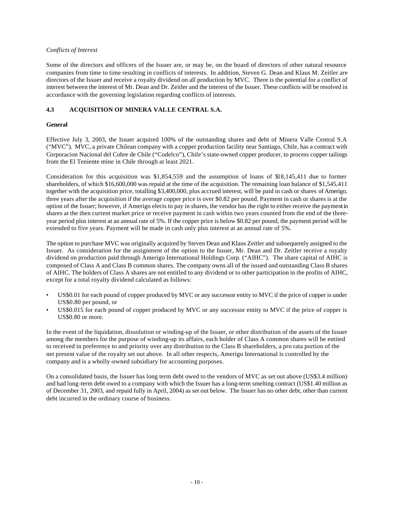## *Conflicts of Interest*

Some of the directors and officers of the Issuer are, or may be, on the board of directors of other natural resource companies from time to time resulting in conflicts of interests. In addition, Steven G. Dean and Klaus M. Zeitler are directors of the Issuer and receive a royalty dividend on all production by MVC. There is the potential for a conflict of interest between the interest of Mr. Dean and Dr. Zeitler and the interest of the Issuer. These conflicts will be resolved in accordance with the governing legislation regarding conflicts of interests.

## **4.3 ACQUISITION OF MINERA VALLE CENTRAL S.A.**

## **General**

Effective July 3, 2003, the Issuer acquired 100% of the outstanding shares and debt of Minera Valle Central S.A ("MVC"). MVC, a private Chilean company with a copper production facility near Santiago, Chile, has a contract with Corporacion Nacional del Cobre de Chile ("Codelco"), Chile's state-owned copper producer, to process copper tailings from the El Teniente mine in Chile through at least 2021.

Consideration for this acquisition was \$1,854,559 and the assumption of loans of \$18,145,411 due to former shareholders, of which \$16,600,000 was repaid at the time of the acquisition. The remaining loan balance of \$1,545,411 together with the acquisition price, totalling \$3,400,000, plus accrued interest, will be paid in cash or shares of Amerigo, three years after the acquisition if the average copper price is over \$0.82 per pound. Payment in cash or shares is at the option of the Issuer; however, if Amerigo elects to pay in shares, the vendor has the right to either receive the payment in shares at the then current market price or receive payment in cash within two years counted from the end of the threeyear period plus interest at an annual rate of 5%. If the copper price is below \$0.82 per pound, the payment period will be extended to five years. Payment will be made in cash only plus interest at an annual rate of 5%.

The option to purchase MVC was originally acquired by Steven Dean and Klaus Zeitler and subsequently assigned to the Issuer. As consideration for the assignment of the option to the Issuer, Mr. Dean and Dr. Zeitler receive a royalty dividend on production paid through Amerigo International Holdings Corp. ("AIHC"). The share capital of AIHC is composed of Class A and Class B common shares. The company owns all of the issued and outstanding Class B shares of AIHC. The holders of Class A shares are not entitled to any dividend or to other participation in the profits of AIHC, except for a total royalty dividend calculated as follows:

- US\$0.01 for each pound of copper produced by MVC or any successor entity to MVC if the price of copper is under US\$0.80 per pound, or
- US\$0.015 for each pound of copper produced by MVC or any successor entity to MVC if the price of copper is US\$0.80 or more.

In the event of the liquidation, dissolution or winding-up of the Issuer, or other distribution of the assets of the Issuer among the members for the purpose of winding-up its affairs, each holder of Class A common shares will be entited to received in preference to and priority over any distribution to the Class B shareholders, a pro rata portion of the net present value of the royalty set out above. In all other respects, Amerigo International is controlled by the company and is a wholly-owned subsidiary for accounting purposes.

On a consolidated basis, the Issuer has long term debt owed to the vendors of MVC as set out above (US\$3.4 million) and had long-term debt owed to a company with which the Issuer has a long-term smelting contract (US\$1.40 million as of December 31, 2003, and repaid fully in April, 2004) as set out below. The Issuer has no other debt, other than current debt incurred in the ordinary course of business.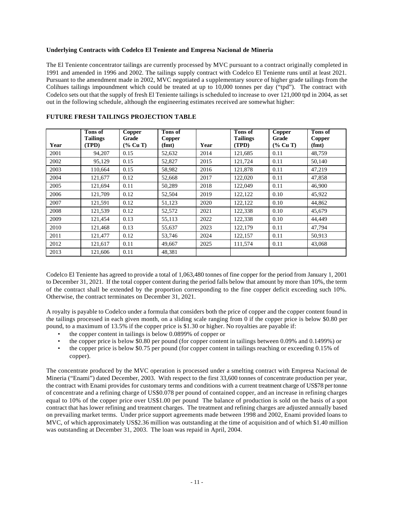## **Underlying Contracts with Codelco El Teniente and Empresa Nacional de Mineria**

The El Teniente concentrator tailings are currently processed by MVC pursuant to a contract originally completed in 1991 and amended in 1996 and 2002. The tailings supply contract with Codelco El Teniente runs until at least 2021. Pursuant to the amendment made in 2002, MVC negotiated a supplementary source of higher grade tailings from the Colihues tailings impoundment which could be treated at up to 10,000 tonnes per day ("tpd"). The contract with Codelco sets out that the supply of fresh El Teniente tailings is scheduled to increase to over 121,000 tpd in 2004, as set out in the following schedule, although the engineering estimates received are somewhat higher:

| Year | Tons of<br><b>Tailings</b><br>(TPD) | <b>Copper</b><br>Grade<br>(% Cu T) | Tons of<br><b>Copper</b><br>(fmt) | Year | Tons of<br><b>Tailings</b><br>(TPD) | <b>Copper</b><br>Grade<br>$(\%$ Cu T) | Tons of<br><b>Copper</b><br>(fmt) |
|------|-------------------------------------|------------------------------------|-----------------------------------|------|-------------------------------------|---------------------------------------|-----------------------------------|
| 2001 | 94,207                              | 0.15                               | 52,632                            | 2014 | 121,685                             | 0.11                                  | 48,759                            |
| 2002 | 95,129                              | 0.15                               | 52,827                            | 2015 | 121,724                             | 0.11                                  | 50,140                            |
| 2003 | 110,664                             | 0.15                               | 58,982                            | 2016 | 121,878                             | 0.11                                  | 47,219                            |
| 2004 | 121,677                             | 0.12                               | 52,668                            | 2017 | 122,020                             | 0.11                                  | 47,858                            |
| 2005 | 121,694                             | 0.11                               | 50,289                            | 2018 | 122,049                             | 0.11                                  | 46,900                            |
| 2006 | 121,709                             | 0.12                               | 52,504                            | 2019 | 122,122                             | 0.10                                  | 45,922                            |
| 2007 | 121,591                             | 0.12                               | 51,123                            | 2020 | 122,122                             | 0.10                                  | 44,862                            |
| 2008 | 121,539                             | 0.12                               | 52,572                            | 2021 | 122,338                             | 0.10                                  | 45,679                            |
| 2009 | 121,454                             | 0.13                               | 55,113                            | 2022 | 122,338                             | 0.10                                  | 44,449                            |
| 2010 | 121,468                             | 0.13                               | 55,637                            | 2023 | 122,179                             | 0.11                                  | 47,794                            |
| 2011 | 121,477                             | 0.12                               | 53,746                            | 2024 | 122,157                             | 0.11                                  | 50,913                            |
| 2012 | 121,617                             | 0.11                               | 49,667                            | 2025 | 111,574                             | 0.11                                  | 43,068                            |
| 2013 | 121,606                             | 0.11                               | 48,381                            |      |                                     |                                       |                                   |

## **FUTURE FRESH TAILINGS PROJECTION TABLE**

Codelco El Teniente has agreed to provide a total of 1,063,480 tonnes of fine copper for the period from January 1, 2001 to December 31, 2021. If the total copper content during the period falls below that amount by more than 10%, the term of the contract shall be extended by the proportion corresponding to the fine copper deficit exceeding such 10%. Otherwise, the contract terminates on December 31, 2021.

A royalty is payable to Codelco under a formula that considers both the price of copper and the copper content found in the tailings processed in each given month, on a sliding scale ranging from 0 if the copper price is below \$0.80 per pound, to a maximum of 13.5% if the copper price is \$1.30 or higher. No royalties are payable if:

- the copper content in tailings is below 0.0899% of copper or
- the copper price is below \$0.80 per pound (for copper content in tailings between 0.09% and 0.1499%) or
- the copper price is below \$0.75 per pound (for copper content in tailings reaching or exceeding 0.15% of copper).

The concentrate produced by the MVC operation is processed under a smelting contract with Empresa Nacional de Mineria ("Enami") dated December, 2003. With respect to the first 33,600 tonnes of concentrate production per year, the contract with Enami provides for customary terms and conditions with a current treatment charge of US\$78 per tonne of concentrate and a refining charge of US\$0.078 per pound of contained copper, and an increase in refining charges equal to 10% of the copper price over US\$1.00 per pound The balance of production is sold on the basis of a spot contract that has lower refining and treatment charges. The treatment and refining charges are adjusted annually based on prevailing market terms. Under price support agreements made between 1998 and 2002, Enami provided loans to MVC, of which approximately US\$2.36 million was outstanding at the time of acquisition and of which \$1.40 million was outstanding at December 31, 2003. The loan was repaid in April, 2004.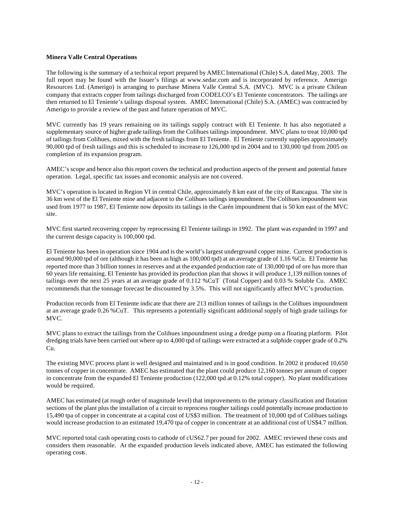#### **Minera Valle Central Operations**

The following is the summary of a technical report prepared by AMEC International (Chile) S.A. dated May, 2003. The full report may be found with the Issuer's filings at www.sedar.com and is incorporated by reference. Amerigo Resources Ltd. (Amerigo) is arranging to purchase Minera Valle Central S.A. (MVC). MVC is a private Chilean company that extracts copper from tailings discharged from CODELCO's El Teniente concentrators. The tailings are then returned to El Teniente's tailings disposal system. AMEC International (Chile) S.A. (AMEC) was contracted by Amerigo to provide a review of the past and future operation of MVC.

MVC currently has 19 years remaining on its tailings supply contract with El Teniente. It has also negotiated a supplementary source of higher grade tailings from the Colihues tailings impoundment. MVC plans to treat 10,000 tpd of tailings from Colihues, mixed with the fresh tailings from El Teniente. El Teniente currently supplies approximately 90,000 tpd of fresh tailings and this is scheduled to increase to 126,000 tpd in 2004 and to 130,000 tpd from 2005 on completion of its expansion program.

AMEC's scope and hence also this report covers the technical and production aspects of the present and potential future operation. Legal, specific tax issues and economic analysis are not covered.

MVC's operation is located in Region VI in central Chile, approximately 8 km east of the city of Rancagua. The site is 36 km west of the El Teniente mine and adjacent to the Colihues tailings impoundment. The Colihues impoundment was used from 1977 to 1987, El Teniente now deposits its tailings in the Carén impoundment that is 50 km east of the MVC site.

MVC first started recovering copper by reprocessing El Teniente tailings in 1992. The plant was expanded in 1997 and the current design capacity is 100,000 tpd.

El Teniente has been in operation since 1904 and is the world's largest underground copper mine. Current production is around 90,000 tpd of ore (although it has been as high as 100,000 tpd) at an average grade of 1.16 %Cu. El Teniente has reported more than 3 billion tonnes in reserves and at the expanded production rate of 130,000 tpd of ore has more than 60 years life remaining. El Teniente has provided its production plan that shows it will produce 1,139 million tonnes of tailings over the next 25 years at an average grade of 0.112 %CuT (Total Copper) and 0.03 % Soluble Cu. AMEC recommends that the tonnage forecast be discounted by 3.5%. This will not significantly affect MVC's production.

Production records from El Teniente indicate that there are 213 million tonnes of tailings in the Colihues impoundment at an average grade 0.26 %CuT. This represents a potentially significant additional supply of high grade tailings for MVC.

MVC plans to extract the tailings from the Colihues impoundment using a dredge pump on a floating platform. Pilot dredging trials have been carried out where up to 4,000 tpd of tailings were extracted at a sulphide copper grade of 0.2% Cu.

The existing MVC process plant is well designed and maintained and is in good condition. In 2002 it produced 10,650 tonnes of copper in concentrate. AMEC has estimated that the plant could produce 12,160 tonnes per annum of copper in concentrate from the expanded El Teniente production (122,000 tpd at 0.12% total copper). No plant modifications would be required.

AMEC has estimated (at rough order of magnitude level) that improvements to the primary classification and flotation sections of the plant plus the installation of a circuit to reprocess rougher tailings could potentially increase production to 15,490 tpa of copper in concentrate at a capital cost of US\$3 million. The treatment of 10,000 tpd of Colihues tailings would increase production to an estimated 19,470 tpa of copper in concentrate at an additional cost of US\$4.7 million.

MVC reported total cash operating costs to cathode of cUS62.7 per pound for 2002. AMEC reviewed these costs and considers them reasonable. At the expanded production levels indicated above, AMEC has estimated the following operating costs.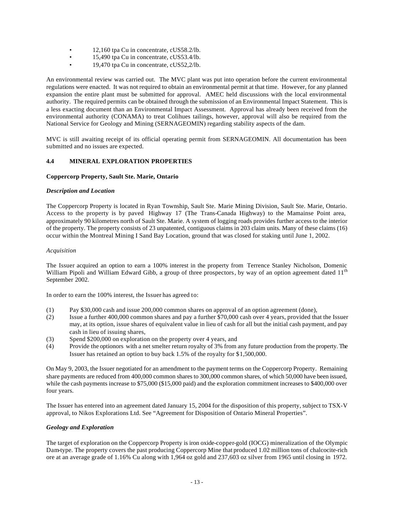- 12,160 tpa Cu in concentrate, cUS58.2/lb.
- 15,490 tpa Cu in concentrate, cUS53.4/lb.
- 19,470 tpa Cu in concentrate, cUS52,2/lb.

An environmental review was carried out. The MVC plant was put into operation before the current environmental regulations were enacted. It was not required to obtain an environmental permit at that time. However, for any planned expansion the entire plant must be submitted for approval. AMEC held discussions with the local environmental authority. The required permits can be obtained through the submission of an Environmental Impact Statement. This is a less exacting document than an Environmental Impact Assessment. Approval has already been received from the environmental authority (CONAMA) to treat Colihues tailings, however, approval will also be required from the National Service for Geology and Mining (SERNAGEOMIN) regarding stability aspects of the dam.

MVC is still awaiting receipt of its official operating permit from SERNAGEOMIN. All documentation has been submitted and no issues are expected.

## **4.4 MINERAL EXPLORATION PROPERTIES**

#### **Coppercorp Property, Sault Ste. Marie, Ontario**

#### *Description and Location*

The Coppercorp Property is located in Ryan Township, Sault Ste. Marie Mining Division, Sault Ste. Marie, Ontario. Access to the property is by paved Highway 17 (The Trans-Canada Highway) to the Mamainse Point area, approximately 90 kilometres north of Sault Ste. Marie. A system of logging roads provides further access to the interior of the property. The property consists of 23 unpatented, contiguous claims in 203 claim units. Many of these claims (16) occur within the Montreal Mining I Sand Bay Location, ground that was closed for staking until June 1, 2002.

#### *Acquisition*

The Issuer acquired an option to earn a 100% interest in the property from Terrence Stanley Nicholson, Domenic William Pipoli and William Edward Gibb, a group of three prospectors, by way of an option agreement dated 11<sup>th</sup> September 2002.

In order to earn the 100% interest, the Issuer has agreed to:

- (1) Pay \$30,000 cash and issue 200,000 common shares on approval of an option agreement (done),
- (2) Issue a further 400,000 common shares and pay a further \$70,000 cash over 4 years, provided that the Issuer may, at its option, issue shares of equivalent value in lieu of cash for all but the initial cash payment, and pay cash in lieu of issuing shares,
- (3) Spend \$200,000 on exploration on the property over 4 years, and
- (4) Provide the optionors with a net smelter return royalty of 3% from any future production from the property. The Issuer has retained an option to buy back 1.5% of the royalty for \$1,500,000.

On May 9, 2003, the Issuer negotiated for an amendment to the payment terms on the Coppercorp Property. Remaining share payments are reduced from 400,000 common shares to 300,000 common shares, of which 50,000 have been issued, while the cash payments increase to \$75,000 (\$15,000 paid) and the exploration commitment increases to \$400,000 over four years.

The Issuer has entered into an agreement dated January 15, 2004 for the disposition of this property, subject to TSX-V approval, to Nikos Explorations Ltd. See "Agreement for Disposition of Ontario Mineral Properties".

#### *Geology and Exploration*

The target of exploration on the Coppercorp Property is iron oxide-copper-gold (IOCG) mineralization of the Olympic Dam-type. The property covers the past producing Coppercorp Mine that produced 1.02 million tons of chalcocite-rich ore at an average grade of 1.16% Cu along with 1,964 oz gold and 237,603 oz silver from 1965 until closing in 1972.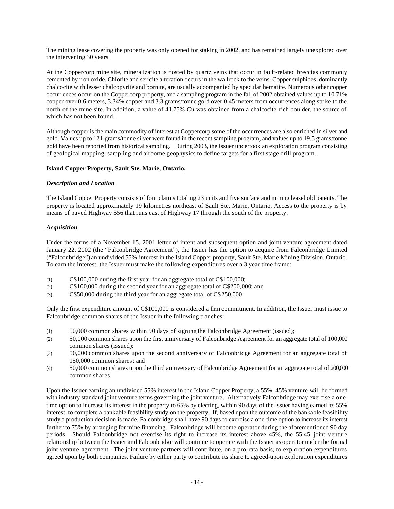The mining lease covering the property was only opened for staking in 2002, and has remained largely unexplored over the intervening 30 years.

At the Coppercorp mine site, mineralization is hosted by quartz veins that occur in fault-related breccias commonly cemented by iron oxide. Chlorite and sericite alteration occurs in the wallrock to the veins. Copper sulphides, dominantly chalcocite with lesser chalcopyrite and bornite, are usually accompanied by specular hematite. Numerous other copper occurrences occur on the Coppercorp property, and a sampling program in the fall of 2002 obtained values up to 10.71% copper over 0.6 meters, 3.34% copper and 3.3 grams/tonne gold over 0.45 meters from occurrences along strike to the north of the mine site. In addition, a value of 41.75% Cu was obtained from a chalcocite-rich boulder, the source of which has not been found.

Although copper is the main commodity of interest at Coppercorp some of the occurrences are also enriched in silver and gold. Values up to 121-grams/tonne silver were found in the recent sampling program, and values up to 19.5 grams/tonne gold have been reported from historical sampling. During 2003, the Issuer undertook an exploration program consisting of geological mapping, sampling and airborne geophysics to define targets for a first-stage drill program.

## **Island Copper Property, Sault Ste. Marie, Ontario,**

#### *Description and Location*

The Island Copper Property consists of four claims totaling 23 units and five surface and mining leasehold patents. The property is located approximately 19 kilometres northeast of Sault Ste. Marie, Ontario. Access to the property is by means of paved Highway 556 that runs east of Highway 17 through the south of the property.

#### *Acquisition*

Under the terms of a November 15, 2001 letter of intent and subsequent option and joint venture agreement dated January 22, 2002 (the "Falconbridge Agreement"), the Issuer has the option to acquire from Falconbridge Limited ("Falconbridge") an undivided 55% interest in the Island Copper property, Sault Ste. Marie Mining Division, Ontario. To earn the interest, the Issuer must make the following expenditures over a 3 year time frame:

- (1) C\$100,000 during the first year for an aggregate total of C\$100,000;
- (2) C\$100,000 during the second year for an aggregate total of C\$200,000; and
- (3) C\$50,000 during the third year for an aggregate total of C\$250,000.

Only the first expenditure amount of C\$100,000 is considered a firm commitment. In addition, the Issuer must issue to Falconbridge common shares of the Issuer in the following tranches:

- (1) 50,000 common shares within 90 days of signing the Falconbridge Agreement (issued);
- (2) 50,000 common shares upon the first anniversary of Falconbridge Agreement for an aggregate total of 100,000 common shares (issued);
- (3) 50,000 common shares upon the second anniversary of Falconbridge Agreement for an aggregate total of 150,000 common shares; and
- (4) 50,000 common shares upon the third anniversary of Falconbridge Agreement for an aggregate total of 200,000 common shares.

Upon the Issuer earning an undivided 55% interest in the Island Copper Property, a 55%: 45% venture will be formed with industry standard joint venture terms governing the joint venture. Alternatively Falconbridge may exercise a onetime option to increase its interest in the property to 65% by electing, within 90 days of the Issuer having earned its 55% interest, to complete a bankable feasibility study on the property. If, based upon the outcome of the bankable feasibility study a production decision is made, Falconbridge shall have 90 days to exercise a one-time option to increase its interest further to 75% by arranging for mine financing. Falconbridge will become operator during the aforementioned 90 day periods. Should Falconbridge not exercise its right to increase its interest above 45%, the 55:45 joint venture relationship between the Issuer and Falconbridge will continue to operate with the Issuer as operator under the formal joint venture agreement. The joint venture partners will contribute, on a pro-rata basis, to exploration expenditures agreed upon by both companies. Failure by either party to contribute its share to agreed-upon exploration expenditures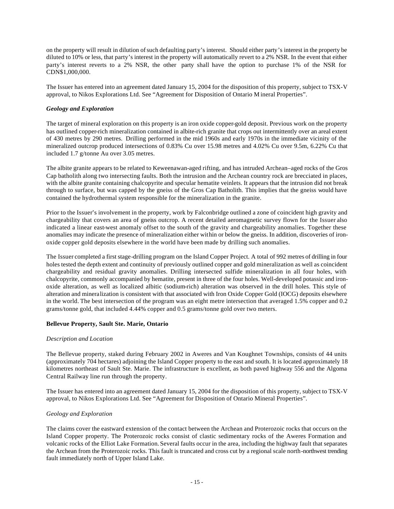on the property will result in dilution of such defaulting party's interest. Should either party's interest in the property be diluted to 10% or less, that party's interest in the property will automatically revert to a 2% NSR. In the event that either party's interest reverts to a 2% NSR, the other party shall have the option to purchase 1% of the NSR for CDN\$1,000,000.

The Issuer has entered into an agreement dated January 15, 2004 for the disposition of this property, subject to TSX-V approval, to Nikos Explorations Ltd. See "Agreement for Disposition of Ontario M ineral Properties".

## *Geology and Exploration*

The target of mineral exploration on this property is an iron oxide copper-gold deposit. Previous work on the property has outlined copper-rich mineralization contained in albite-rich granite that crops out intermittently over an areal extent of 430 metres by 290 metres. Drilling performed in the mid 1960s and early 1970s in the immediate vicinity of the mineralized outcrop produced intersections of 0.83% Cu over 15.98 metres and 4.02% Cu over 9.5m, 6.22% Cu that included 1.7 g/tonne Au over 3.05 metres.

The albite granite appears to be related to Keweenawan-aged rifting, and has intruded Archean–aged rocks of the Gros Cap batholith along two intersecting faults. Both the intrusion and the Archean country rock are brecciated in places, with the albite granite containing chalcopyrite and specular hematite veinlets. It appears that the intrusion did not break through to surface, but was capped by the gneiss of the Gros Cap Batholith. This implies that the gneiss would have contained the hydrothermal system responsible for the mineralization in the granite.

Prior to the Issuer's involvement in the property, work by Falconbridge outlined a zone of coincident high gravity and chargeability that covers an area of gneiss outcrop. A recent detailed aeromagnetic survey flown for the Issuer also indicated a linear east-west anomaly offset to the south of the gravity and chargeability anomalies. Together these anomalies may indicate the presence of mineralization either within or below the gneiss. In addition, discoveries of ironoxide copper gold deposits elsewhere in the world have been made by drilling such anomalies.

The Issuer completed a first stage-drilling program on the Island Copper Project. A total of 992 metres of drilling in four holes tested the depth extent and continuity of previously outlined copper and gold mineralization as well as coincident chargeability and residual gravity anomalies. Drilling intersected sulfide mineralization in all four holes, with chalcopyrite, commonly accompanied by hematite, present in three of the four holes. Well-developed potassic and ironoxide alteration, as well as localized albitic (sodium-rich) alteration was observed in the drill holes. This style of alteration and mineralization is consistent with that associated with Iron Oxide Copper Gold (IOCG) deposits elsewhere in the world. The best intersection of the program was an eight metre intersection that averaged 1.5% copper and 0.2 grams/tonne gold, that included 4.44% copper and 0.5 grams/tonne gold over two meters.

## **Bellevue Property, Sault Ste. Marie, Ontario**

#### *Description and Location*

The Bellevue property, staked during February 2002 in Aweres and Van Koughnet Townships, consists of 44 units (approximately 704 hectares) adjoining the Island Copper property to the east and south. It is located approximately 18 kilometres northeast of Sault Ste. Marie. The infrastructure is excellent, as both paved highway 556 and the Algoma Central Railway line run through the property.

The Issuer has entered into an agreement dated January 15, 2004 for the disposition of this property, subject to TSX-V approval, to Nikos Explorations Ltd. See "Agreement for Disposition of Ontario Mineral Properties".

#### *Geology and Exploration*

The claims cover the eastward extension of the contact between the Archean and Proterozoic rocks that occurs on the Island Copper property. The Proterozoic rocks consist of clastic sedimentary rocks of the Aweres Formation and volcanic rocks of the Elliot Lake Formation. Several faults occur in the area, including the highway fault that separates the Archean from the Proterozoic rocks. This fault is truncated and cross cut by a regional scale north-northwest trending fault immediately north of Upper Island Lake.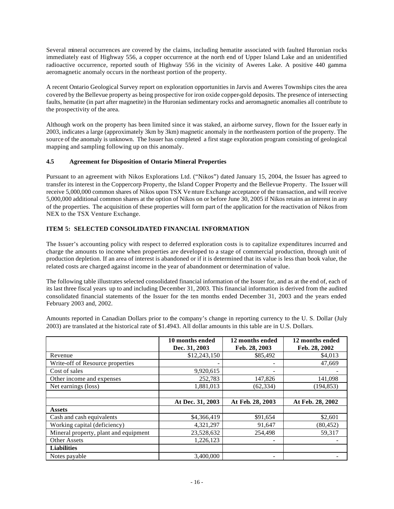Several mineral occurrences are covered by the claims, including hematite associated with faulted Huronian rocks immediately east of Highway 556, a copper occurrence at the north end of Upper Island Lake and an unidentified radioactive occurrence, reported south of Highway 556 in the vicinity of Aweres Lake. A positive 440 gamma aeromagnetic anomaly occurs in the northeast portion of the property.

A recent Ontario Geological Survey report on exploration opportunities in Jarvis and Aweres Townships cites the area covered by the Bellevue property as being prospective for iron oxide copper-gold deposits. The presence of intersecting faults, hematite (in part after magnetite) in the Huronian sedimentary rocks and aeromagnetic anomalies all contribute to the prospectivity of the area.

Although work on the property has been limited since it was staked, an airborne survey, flown for the Issuer early in 2003, indicates a large (approximately 3km by 3km) magnetic anomaly in the northeastern portion of the property. The source of the anomaly is unknown. The Issuer has completed a first stage exploration program consisting of geological mapping and sampling following up on this anomaly.

## **4.5 Agreement for Disposition of Ontario Mineral Properties**

Pursuant to an agreement with Nikos Explorations Ltd. ("Nikos") dated January 15, 2004, the Issuer has agreed to transfer its interest in the Coppercorp Property, the Island Copper Property and the Bellevue Property. The Issuer will receive 5,000,000 common shares of Nikos upon TSX Ve nture Exchange acceptance of the transaction, and will receive 5,000,000 additional common shares at the option of Nikos on or before June 30, 2005 if Nikos retains an interest in any of the properties. The acquisition of these properties will form part of the application for the reactivation of Nikos from NEX to the TSX Venture Exchange.

## **ITEM 5: SELECTED CONSOLIDATED FINANCIAL INFORMATION**

The Issuer's accounting policy with respect to deferred exploration costs is to capitalize expenditures incurred and charge the amounts to income when properties are developed to a stage of commercial production, through unit of production depletion. If an area of interest is abandoned or if it is determined that its value is less than book value, the related costs are charged against income in the year of abandonment or determination of value.

The following table illustrates selected consolidated financial information of the Issuer for, and as at the end of, each of its last three fiscal years up to and including December 31, 2003. This financial information is derived from the audited consolidated financial statements of the Issuer for the ten months ended December 31, 2003 and the years ended February 2003 and, 2002.

Amounts reported in Canadian Dollars prior to the company's change in reporting currency to the U. S. Dollar (July 2003) are translated at the historical rate of \$1.4943. All dollar amounts in this table are in U.S. Dollars.

|                                       | 10 months ended<br>Dec. 31, 2003 | 12 months ended<br>Feb. 28, 2003 | 12 months ended<br>Feb. 28, 2002 |
|---------------------------------------|----------------------------------|----------------------------------|----------------------------------|
| Revenue                               | \$12,243,150                     | \$85,492                         | \$4,013                          |
| Write-off of Resource properties      |                                  |                                  | 47,669                           |
| Cost of sales                         | 9,920,615                        |                                  |                                  |
| Other income and expenses             | 252,783                          | 147,826                          | 141,098                          |
| Net earnings (loss)                   | 1,881,013                        | (62, 334)                        | (194, 853)                       |
|                                       |                                  |                                  |                                  |
|                                       | At Dec. 31, 2003                 | At Feb. 28, 2003                 | At Feb. 28, 2002                 |
| <b>Assets</b>                         |                                  |                                  |                                  |
| Cash and cash equivalents             | \$4,366,419                      | \$91,654                         | \$2,601                          |
| Working capital (deficiency)          | 4,321,297                        | 91,647                           | (80, 452)                        |
| Mineral property, plant and equipment | 23,528,632                       | 254,498                          | 59,317                           |
| <b>Other Assets</b>                   | 1,226,123                        |                                  |                                  |
| <b>Liabilities</b>                    |                                  |                                  |                                  |
| Notes payable                         | 3.400,000                        | $\overline{\phantom{a}}$         |                                  |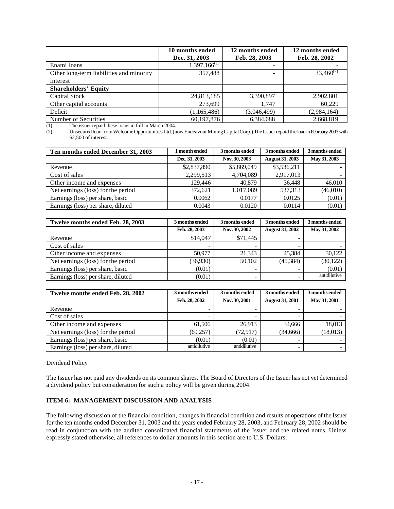|                                            | 10 months ended<br>Dec. 31, 2003 | 12 months ended<br>Feb. 28, 2003 | 12 months ended<br>Feb. 28, 2002 |
|--------------------------------------------|----------------------------------|----------------------------------|----------------------------------|
| Enami loans                                | $1,397,166^{(1)}$                | -                                |                                  |
| Other long-term liabilities and minority   | 357,488                          | ۰                                | $33,460^{(2)}$                   |
| interest                                   |                                  |                                  |                                  |
| <b>Shareholders' Equity</b>                |                                  |                                  |                                  |
| <b>Capital Stock</b>                       | 24,813,185                       | 3,390,897                        | 2,902,801                        |
| Other capital accounts                     | 273.699                          | 1.747                            | 60.229                           |
| Deficit                                    | (1,165,486)                      | (3,046,499)                      | (2,984,164)                      |
| Number of Securities<br>T1.7.1.0004<br>(1) | 60,197,876                       | 6,384,688                        | 2,668,819                        |

(1) The issuer repaid these loans in full in March 2004.

(2) Unsecured loan from Welcome Opportunities Ltd. (now Endeavour Mining Capital Corp.) The Issuer repaid the loan in February 2003 with \$2,500 of interest.

| Ten months ended December 31, 2003 | month ended   | 3 months ended | 3 months ended         | 3 months ended |
|------------------------------------|---------------|----------------|------------------------|----------------|
|                                    | Dec. 31, 2003 | Nov. 30, 2003  | <b>August 31, 2003</b> | May 31, 2003   |
| Revenue                            | \$2,837,890   | \$5,869,049    | \$3,536,211            |                |
| Cost of sales                      | 2,299,513     | 4,704,089      | 2,917,013              |                |
| Other income and expenses          | 129,446       | 40.879         | 36.448                 | 46,010         |
| Net earnings (loss) for the period | 372.621       | 1,017,089      | 537.313                | (46,010)       |
| Earnings (loss) per share, basic   | 0.0062        | 0.0177         | 0.0125                 | (0.01)         |
| Earnings (loss) per share, diluted | 0.0043        | 0.0120         | 0.0114                 | (0.01)         |

| Twelve months ended Feb. 28, 2003  | 3 months ended | 3 months ended | 3 months ended         | 3 months ended |
|------------------------------------|----------------|----------------|------------------------|----------------|
|                                    | Feb. 28, 2003  | Nov. 30, 2002  | <b>August 31, 2002</b> | May 31, 2002   |
| Revenue                            | \$14,047       | \$71,445       |                        |                |
| Cost of sales                      |                |                |                        |                |
| Other income and expenses          | 50.977         | 21,343         | 45.384                 | 30,122         |
| Net earnings (loss) for the period | (36,930)       | 50,102         | (45, 384)              | (30, 122)      |
| Earnings (loss) per share, basic   | (0.01)         | -              |                        | (0.01)         |
| Earnings (loss) per share, diluted | (0.01)         |                |                        | antidilutive   |

| Twelve months ended Feb. 28, 2002  | 3 months ended | 3 months ended           | 3 months ended         | 3 months ended |
|------------------------------------|----------------|--------------------------|------------------------|----------------|
|                                    | Feb. 28, 2002  | Nov. 30, 2001            | <b>August 31, 2001</b> | May 31, 2001   |
| Revenue                            |                | $\overline{\phantom{a}}$ |                        |                |
| Cost of sales                      |                | -                        |                        |                |
| Other income and expenses          | 61.506         | 26.913                   | 34,666                 | 18,013         |
| Net earnings (loss) for the period | (69, 257)      | (72, 917)                | (34,666)               | (18, 013)      |
| Earnings (loss) per share, basic   | (0.01)         | (0.01)                   |                        |                |
| Earnings (loss) per share, diluted | antidilutive   | antidilutive             |                        |                |

Dividend Policy

The Issuer has not paid any dividends on its common shares. The Board of Directors of the Issuer has not yet determined a dividend policy but consideration for such a policy will be given during 2004.

## **ITEM 6: MANAGEMENT DISCUSSION AND ANALYSIS**

The following discussion of the financial condition, changes in financial condition and results of operations of the Issuer for the ten months ended December 31, 2003 and the years ended February 28, 2003, and February 28, 2002 should be read in conjunction with the audited consolidated financial statements of the Issuer and the related notes. Unless expressly stated otherwise, all references to dollar amounts in this section are to U.S. Dollars.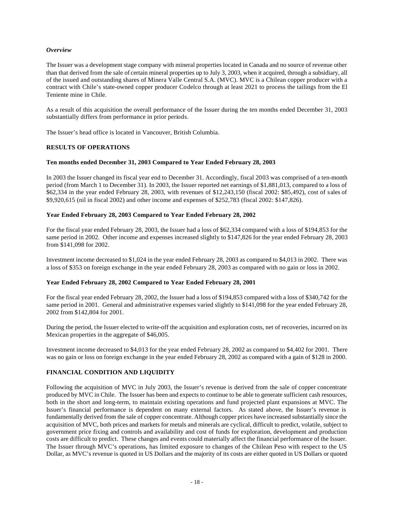#### *Overview*

The Issuer was a development stage company with mineral properties located in Canada and no source of revenue other than that derived from the sale of certain mineral properties up to July 3, 2003, when it acquired, through a subsidiary, all of the issued and outstanding shares of Minera Valle Central S.A. (MVC). MVC is a Chilean copper producer with a contract with Chile's state-owned copper producer Codelco through at least 2021 to process the tailings from the El Teniente mine in Chile.

As a result of this acquisition the overall performance of the Issuer during the ten months ended December 31, 2003 substantially differs from performance in prior periods.

The Issuer's head office is located in Vancouver, British Columbia.

#### **RESULTS OF OPERATIONS**

#### **Ten months ended December 31, 2003 Compared to Year Ended February 28, 2003**

In 2003 the Issuer changed its fiscal year end to December 31. Accordingly, fiscal 2003 was comprised of a ten-month period (from March 1 to December 31). In 2003, the Issuer reported net earnings of \$1,881,013, compared to a loss of \$62,334 in the year ended February 28, 2003, with revenues of \$12,243,150 (fiscal 2002: \$85,492), cost of sales of \$9,920,615 (nil in fiscal 2002) and other income and expenses of \$252,783 (fiscal 2002: \$147,826).

#### **Year Ended February 28, 2003 Compared to Year Ended February 28, 2002**

For the fiscal year ended February 28, 2003, the Issuer had a loss of \$62,334 compared with a loss of \$194,853 for the same period in 2002. Other income and expenses increased slightly to \$147,826 for the year ended February 28, 2003 from \$141,098 for 2002.

Investment income decreased to \$1,024 in the year ended February 28, 2003 as compared to \$4,013 in 2002. There was a loss of \$353 on foreign exchange in the year ended February 28, 2003 as compared with no gain or loss in 2002.

## **Year Ended February 28, 2002 Compared to Year Ended February 28, 2001**

For the fiscal year ended February 28, 2002, the Issuer had a loss of \$194,853 compared with a loss of \$340,742 for the same period in 2001. General and administrative expenses varied slightly to \$141,098 for the year ended February 28, 2002 from \$142,804 for 2001.

During the period, the Issuer elected to write-off the acquisition and exploration costs, net of recoveries, incurred on its Mexican properties in the aggregate of \$46,005.

Investment income decreased to \$4,013 for the year ended February 28, 2002 as compared to \$4,402 for 2001. There was no gain or loss on foreign exchange in the year ended February 28, 2002 as compared with a gain of \$128 in 2000.

## **FINANCIAL CONDITION AND LIQUIDITY**

Following the acquisition of MVC in July 2003, the Issuer's revenue is derived from the sale of copper concentrate produced by MVC in Chile. The Issuer has been and expects to continue to be able to generate sufficient cash resources, both in the short and long-term, to maintain existing operations and fund projected plant expansions at MVC. The Issuer's financial performance is dependent on many external factors. As stated above, the Issuer's revenue is fundamentally derived from the sale of copper concentrate. Although copper prices have increased substantially since the acquisition of MVC, both prices and markets for metals and minerals are cyclical, difficult to predict, volatile, subject to government price fixing and controls and availability and cost of funds for exploration, development and production costs are difficult to predict. These changes and events could materially affect the financial performance of the Issuer. The Issuer through MVC's operations, has limited exposure to changes of the Chilean Peso with respect to the US Dollar, as MVC's revenue is quoted in US Dollars and the majority of its costs are either quoted in US Dollars or quoted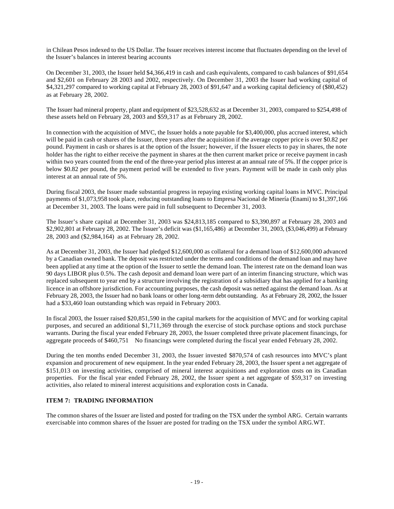in Chilean Pesos indexed to the US Dollar. The Issuer receives interest income that fluctuates depending on the level of the Issuer's balances in interest bearing accounts

On December 31, 2003, the Issuer held \$4,366,419 in cash and cash equivalents, compared to cash balances of \$91,654 and \$2,601 on February 28 2003 and 2002, respectively. On December 31, 2003 the Issuer had working capital of \$4,321,297 compared to working capital at February 28, 2003 of \$91,647 and a working capital deficiency of (\$80,452) as at February 28, 2002.

The Issuer had mineral property, plant and equipment of \$23,528,632 as at December 31, 2003, compared to \$254,498 of these assets held on February 28, 2003 and \$59,317 as at February 28, 2002.

In connection with the acquisition of MVC, the Issuer holds a note payable for \$3,400,000, plus accrued interest, which will be paid in cash or shares of the Issuer, three years after the acquisition if the average copper price is over \$0.82 per pound. Payment in cash or shares is at the option of the Issuer; however, if the Issuer elects to pay in shares, the note holder has the right to either receive the payment in shares at the then current market price or receive payment in cash within two years counted from the end of the three-year period plus interest at an annual rate of 5%. If the copper price is below \$0.82 per pound, the payment period will be extended to five years. Payment will be made in cash only plus interest at an annual rate of 5%.

During fiscal 2003, the Issuer made substantial progress in repaying existing working capital loans in MVC. Principal payments of \$1,073,958 took place, reducing outstanding loans to Empresa Nacional de Minería (Enami) to \$1,397,166 at December 31, 2003. The loans were paid in full subsequent to December 31, 2003.

The Issuer's share capital at December 31, 2003 was \$24,813,185 compared to \$3,390,897 at February 28, 2003 and \$2,902,801 at February 28, 2002. The Issuer's deficit was (\$1,165,486) at December 31, 2003, (\$3,046,499) at February 28, 2003 and (\$2,984,164) as at February 28, 2002.

As at December 31, 2003, the Issuer had pledged \$12,600,000 as collateral for a demand loan of \$12,600,000 advanced by a Canadian owned bank. The deposit was restricted under the terms and conditions of the demand loan and may have been applied at any time at the option of the Issuer to settle the demand loan. The interest rate on the demand loan was 90 days LIBOR plus 0.5%. The cash deposit and demand loan were part of an interim financing structure, which was replaced subsequent to year end by a structure involving the registration of a subsidiary that has applied for a banking licence in an offshore jurisdiction. For accounting purposes, the cash deposit was netted against the demand loan. As at February 28, 2003, the Issuer had no bank loans or other long-term debt outstanding. As at February 28, 2002, the Issuer had a \$33,460 loan outstanding which was repaid in February 2003.

In fiscal 2003, the Issuer raised \$20,851,590 in the capital markets for the acquisition of MVC and for working capital purposes, and secured an additional \$1,711,369 through the exercise of stock purchase options and stock purchase warrants. During the fiscal year ended February 28, 2003, the Issuer completed three private placement financings, for aggregate proceeds of \$460,751 No financings were completed during the fiscal year ended February 28, 2002.

During the ten months ended December 31, 2003, the Issuer invested \$870,574 of cash resources into MVC's plant expansion and procurement of new equipment. In the year ended February 28, 2003, the Issuer spent a net aggregate of \$151,013 on investing activities, comprised of mineral interest acquisitions and exploration costs on its Canadian properties. For the fiscal year ended February 28, 2002, the Issuer spent a net aggregate of \$59,317 on investing activities, also related to mineral interest acquisitions and exploration costs in Canada.

## **ITEM 7: TRADING INFORMATION**

The common shares of the Issuer are listed and posted for trading on the TSX under the symbol ARG. Certain warrants exercisable into common shares of the Issuer are posted for trading on the TSX under the symbol ARG.WT.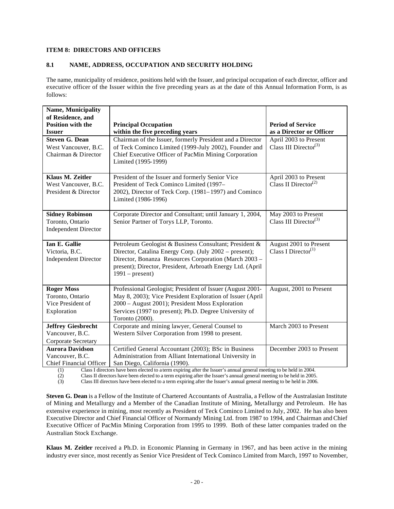## **ITEM 8: DIRECTORS AND OFFICERS**

## **8.1 NAME, ADDRESS, OCCUPATION AND SECURITY HOLDING**

The name, municipality of residence, positions held with the Issuer, and principal occupation of each director, officer and executive officer of the Issuer within the five preceding years as at the date of this Annual Information Form, is as follows:

| Name, Municipality             |                                                            |                                   |
|--------------------------------|------------------------------------------------------------|-----------------------------------|
| of Residence, and              |                                                            |                                   |
| <b>Position with the</b>       | <b>Principal Occupation</b>                                | <b>Period of Service</b>          |
| <b>Issuer</b>                  | within the five preceding years                            | as a Director or Officer          |
| <b>Steven G. Dean</b>          | Chairman of the Issuer, formerly President and a Director  | April 2003 to Present             |
| West Vancouver, B.C.           | of Teck Cominco Limited (1999-July 2002), Founder and      | Class III Director <sup>(3)</sup> |
| Chairman & Director            | Chief Executive Officer of PacMin Mining Corporation       |                                   |
|                                | Limited (1995-1999)                                        |                                   |
|                                |                                                            |                                   |
| Klaus M. Zeitler               | President of the Issuer and formerly Senior Vice           | April 2003 to Present             |
| West Vancouver, B.C.           | President of Teck Cominco Limited (1997-                   | Class II Director <sup>(2)</sup>  |
| President & Director           | 2002), Director of Teck Corp. (1981–1997) and Cominco      |                                   |
|                                | Limited (1986-1996)                                        |                                   |
| <b>Sidney Robinson</b>         | Corporate Director and Consultant; until January 1, 2004,  | May 2003 to Present               |
| Toronto, Ontario               | Senior Partner of Torys LLP, Toronto.                      | Class III Director <sup>(3)</sup> |
| <b>Independent Director</b>    |                                                            |                                   |
|                                |                                                            |                                   |
| Ian E. Gallie                  | Petroleum Geologist & Business Consultant; President &     | August 2001 to Present            |
| Victoria, B.C.                 | Director, Catalina Energy Corp. (July 2002 – present);     | Class I Director <sup>(1)</sup>   |
| <b>Independent Director</b>    | Director, Bonanza Resources Corporation (March 2003 -      |                                   |
|                                | present); Director, President, Arbroath Energy Ltd. (April |                                   |
|                                | $1991$ – present)                                          |                                   |
|                                |                                                            |                                   |
| <b>Roger Moss</b>              | Professional Geologist; President of Issuer (August 2001-  | August, 2001 to Present           |
| Toronto, Ontario               | May 8, 2003); Vice President Exploration of Issuer (April  |                                   |
| Vice President of              | 2000 - August 2001); President Moss Exploration            |                                   |
| Exploration                    | Services (1997 to present); Ph.D. Degree University of     |                                   |
|                                | Toronto (2000).                                            |                                   |
| <b>Jeffrey Giesbrecht</b>      | Corporate and mining lawyer, General Counsel to            | March 2003 to Present             |
| Vancouver, B.C.                | Western Silver Corporation from 1998 to present.           |                                   |
| Corporate Secretary            |                                                            |                                   |
| <b>Aurora Davidson</b>         | Certified General Accountant (2003); BSc in Business       | December 2003 to Present          |
| Vancouver, B.C.                | Administration from Alliant International University in    |                                   |
| <b>Chief Financial Officer</b> | San Diego, California (1990).                              |                                   |

(1) Class I directors have been elected to a term expiring after the Issuer's annual general meeting to be held in 2004.

(2) Class II directors have been elected to a term expiring after the Issuer's annual general meeting to be held in 2005.

(3) Class III directors have been elected to a term expiring after the Issuer's annual general meeting to be held in 2006.

**Steven G. Dean** is a Fellow of the Institute of Chartered Accountants of Australia, a Fellow of the Australasian Institute of Mining and Metallurgy and a Member of the Canadian Institute of Mining, Metallurgy and Petroleum. He has extensive experience in mining, most recently as President of Teck Cominco Limited to July, 2002. He has also been Executive Director and Chief Financial Officer of Normandy Mining Ltd. from 1987 to 1994, and Chairman and Chief Executive Officer of PacMin Mining Corporation from 1995 to 1999. Both of these latter companies traded on the Australian Stock Exchange.

**Klaus M. Zeitler** received a Ph.D. in Economic Planning in Germany in 1967, and has been active in the mining industry ever since, most recently as Senior Vice President of Teck Cominco Limited from March, 1997 to November,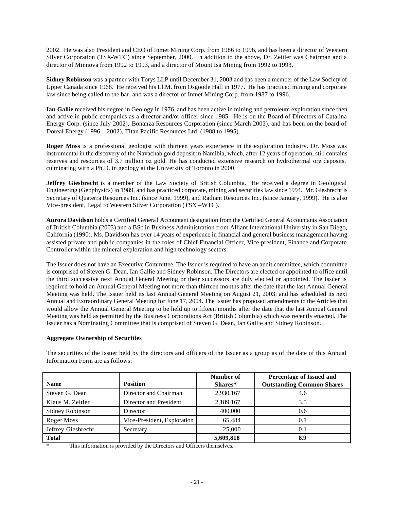2002. He was also President and CEO of Inmet Mining Corp. from 1986 to 1996, and has been a director of Western Silver Corporation (TSX-WTC) since September, 2000. In addition to the above, Dr. Zeitler was Chairman and a director of Minnova from 1992 to 1993, and a director of Mount Isa Mining from 1992 to 1993.

**Sidney Robinson** was a partner with Torys LLP until December 31, 2003 and has been a member of the Law Society of Upper Canada since 1968. He received his Ll.M. from Osgoode Hall in 1977. He has practiced mining and corporate law since being called to the bar, and was a director of Inmet Mining Corp. from 1987 to 1996.

**Ian Gallie** received his degree in Geology in 1976, and has been active in mining and petroleum exploration since then and active in public companies as a director and/or officer since 1985. He is on the Board of Directors of Catalina Energy Corp. (since July 2002), Bonanza Resources Corporation (since March 2003), and has been on the board of Doreal Energy (1996 – 2002), Titan Pacific Resources Ltd. (1988 to 1995).

**Roger Moss** is a professional geologist with thirteen years experience in the exploration industry. Dr. Moss was instrumental in the discovery of the Navachab gold deposit in Namibia, which, after 12 years of operation, still contains reserves and resources of 3.7 million oz gold. He has conducted extensive research on hydrothermal ore deposits, culminating with a Ph.D. in geology at the University of Toronto in 2000.

**Jeffrey Giesbrecht** is a member of the Law Society of British Columbia. He received a degree in Geological Engineering (Geophysics) in 1989, and has practiced corporate, mining and securities law since 1994. Mr. Giesbrecht is Secretary of Quaterra Resources Inc. (since June, 1999), and Radiant Resources Inc. (since January, 1999). He is also Vice-president, Legal to Western Silver Corporation (TSX –WTC).

**Aurora Davidson** holds a Certified Genera l Accountant designation from the Certified General Accountants Association of British Columbia (2003) and a BSc in Business Administration from Alliant International University in San Diego, California (1990). Ms. Davidson has over 14 years of experience in financial and general business management having assisted private and public companies in the roles of Chief Financial Officer, Vice-president, Finance and Corporate Controller within the mineral exploration and high technology sectors.

The Issuer does not have an Executive Committee. The Issuer is required to have an audit committee, which committee is comprised of Steven G. Dean, Ian Gallie and Sidney Robinson. The Directors are elected or appointed to office until the third successive next Annual General Meeting or their successors are duly elected or appointed. The Issuer is required to hold an Annual General Meeting not more than thirteen months after the date that the last Annual General Meeting was held. The Issuer held its last Annual General Meeting on August 21, 2003, and has scheduled its next Annual and Extraordinary General Meeting for June 17, 2004. The Issuer has proposed amendments to the Articles that would allow the Annual General Meeting to be held up to fifteen months after the date that the last Annual General Meeting was held as permitted by the Business Corporations Act (British Columbia) which was recently enacted. The Issuer has a Nominating Committee that is comprised of Steven G. Dean, Ian Gallie and Sidney Robinson.

## **Aggregate Ownership of Securities**

The securities of the Issuer held by the directors and officers of the Issuer as a group as of the date of this Annual Information Form are as follows:

|                    |                             | Number of | Percentage of Issued and         |
|--------------------|-----------------------------|-----------|----------------------------------|
| <b>Name</b>        | <b>Position</b>             | Shares*   | <b>Outstanding Common Shares</b> |
| Steven G. Dean     | Director and Chairman       | 2,930,167 | 4.6                              |
| Klaus M. Zeitler   | Director and President      | 2,189,167 | 3.5                              |
| Sidney Robinson    | Director                    | 400,000   | 0.6                              |
| Roger Moss         | Vice-President, Exploration | 65.484    | 0.1                              |
| Jeffrey Giesbrecht | Secretary                   | 25,000    | 0.1                              |
| <b>Total</b>       |                             | 5,609,818 | 8.9                              |

\* This information is provided by the Directors and Officers themselves.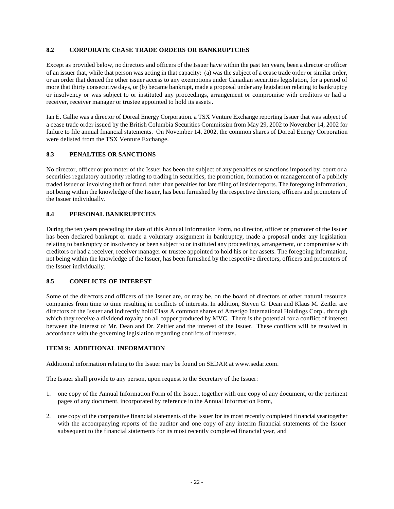## **8.2 CORPORATE CEASE TRADE ORDERS OR BANKRUPTCIES**

Except as provided below, no directors and officers of the Issuer have within the past ten years, been a director or officer of an issuer that, while that person was acting in that capacity: (a) was the subject of a cease trade order or similar order, or an order that denied the other issuer access to any exemptions under Canadian securities legislation, for a period of more that thirty consecutive days, or (b) became bankrupt, made a proposal under any legislation relating to bankruptcy or insolvency or was subject to or instituted any proceedings, arrangement or compromise with creditors or had a receiver, receiver manager or trustee appointed to hold its assets.

Ian E. Gallie was a director of Doreal Energy Corporation. a TSX Venture Exchange reporting Issuer that was subject of a cease trade order issued by the British Columbia Securities Commission from May 29, 2002 to November 14, 2002 for failure to file annual financial statements. On November 14, 2002, the common shares of Doreal Energy Corporation were delisted from the TSX Venture Exchange.

## **8.3 PENALTIES OR SANCTIONS**

No director, officer or pro moter of the Issuer has been the subject of any penalties or sanctions imposed by court or a securities regulatory authority relating to trading in securities, the promotion, formation or management of a publicly traded issuer or involving theft or fraud, other than penalties for late filing of insider reports. The foregoing information, not being within the knowledge of the Issuer, has been furnished by the respective directors, officers and promoters of the Issuer individually.

## **8.4 PERSONAL BANKRUPTCIES**

During the ten years preceding the date of this Annual Information Form, no director, officer or promoter of the Issuer has been declared bankrupt or made a voluntary assignment in bankruptcy, made a proposal under any legislation relating to bankruptcy or insolvency or been subject to or instituted any proceedings, arrangement, or compromise with creditors or had a receiver, receiver manager or trustee appointed to hold his or her assets. The foregoing information, not being within the knowledge of the Issuer, has been furnished by the respective directors, officers and promoters of the Issuer individually.

## **8.5 CONFLICTS OF INTEREST**

Some of the directors and officers of the Issuer are, or may be, on the board of directors of other natural resource companies from time to time resulting in conflicts of interests. In addition, Steven G. Dean and Klaus M. Zeitler are directors of the Issuer and indirectly hold Class A common shares of Amerigo International Holdings Corp., through which they receive a dividend royalty on all copper produced by MVC. There is the potential for a conflict of interest between the interest of Mr. Dean and Dr. Zeitler and the interest of the Issuer. These conflicts will be resolved in accordance with the governing legislation regarding conflicts of interests.

## **ITEM 9: ADDITIONAL INFORMATION**

Additional information relating to the Issuer may be found on SEDAR at www.sedar.com.

The Issuer shall provide to any person, upon request to the Secretary of the Issuer:

- 1. one copy of the Annual Information Form of the Issuer, together with one copy of any document, or the pertinent pages of any document, incorporated by reference in the Annual Information Form,
- 2. one copy of the comparative financial statements of the Issuer for its most recently completed financial year together with the accompanying reports of the auditor and one copy of any interim financial statements of the Issuer subsequent to the financial statements for its most recently completed financial year, and